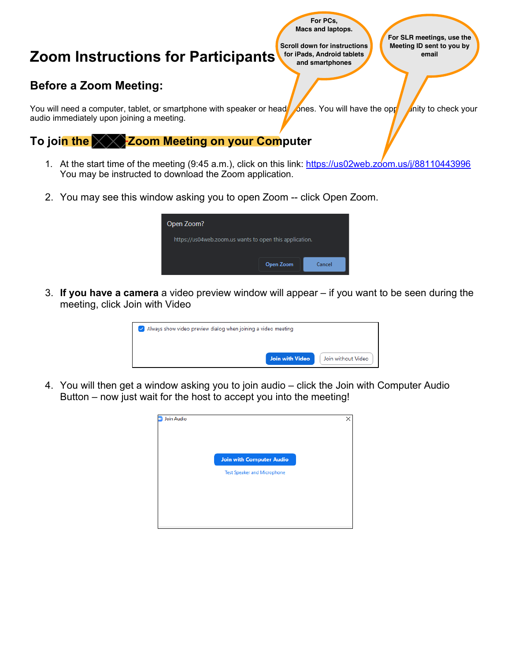

2. You may see this window asking you to open Zoom -- click Open Zoom.

|                     | Open Zoom?                                              |  |
|---------------------|---------------------------------------------------------|--|
|                     | https://us04web.zoom.us wants to open this application. |  |
| Open Zoom<br>Cancel |                                                         |  |

3. **If you have a camera** a video preview window will appear – if you want to be seen during the meeting, click Join with Video

| $\vee$ Always show video preview dialog when joining a video meeting |                 |                    |
|----------------------------------------------------------------------|-----------------|--------------------|
|                                                                      | Join with Video | Join without Video |

4. You will then get a window asking you to join audio – click the Join with Computer Audio Button – now just wait for the host to accept you into the meeting!

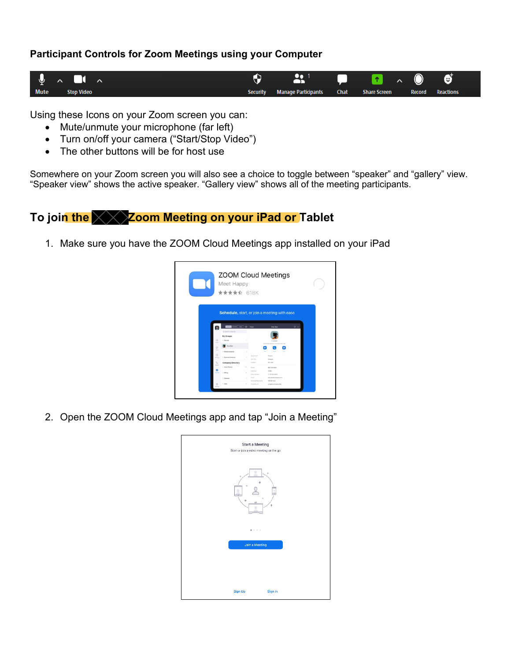#### **Participant Controls for Zoom Meetings using your Computer**



Using these Icons on your Zoom screen you can:

- Mute/unmute your microphone (far left)
- Turn on/off your camera ("Start/Stop Video")
- The other buttons will be for host use

Somewhere on your Zoom screen you will also see a choice to toggle between "speaker" and "gallery" view. "Speaker view" shows the active speaker. "Gallery view" shows all of the meeting participants.

### To join the **XX** Zoom Meeting on your iPad or Tablet

1. Make sure you have the ZOOM Cloud Meetings app installed on your iPad



2. Open the ZOOM Cloud Meetings app and tap "Join a Meeting"

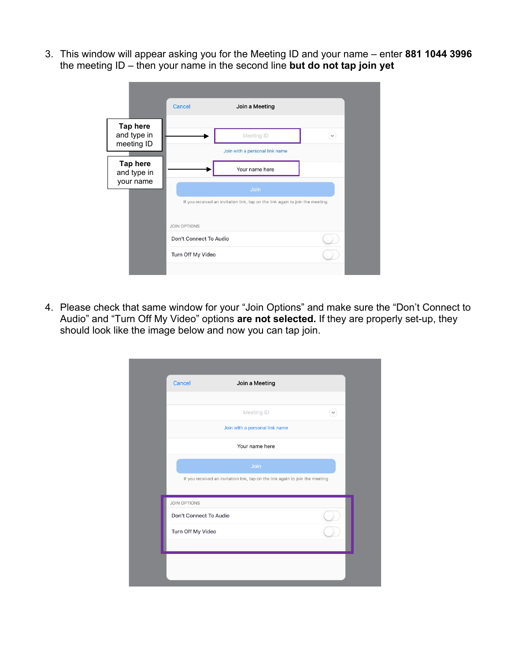3. This window will appear asking you for the Meeting ID and your name – enter **881 1044 3996** the meeting ID – then your name in the second line **but do not tap join yet**

|                                              | Cancel                 | Join a Meeting                                                                |              |
|----------------------------------------------|------------------------|-------------------------------------------------------------------------------|--------------|
| <b>Tap here</b><br>and type in<br>meeting ID |                        | Meeting ID                                                                    | $\checkmark$ |
|                                              |                        | Join with a personal link name                                                |              |
| <b>Tap here</b><br>and type in               |                        | Your name here                                                                |              |
| your name                                    |                        | Join                                                                          |              |
|                                              |                        | If you received an invitation link, tap on the link again to join the meeting |              |
|                                              | <b>JOIN OPTIONS</b>    |                                                                               |              |
|                                              | Don't Connect To Audio |                                                                               |              |
|                                              | Turn Off My Video      |                                                                               |              |
|                                              |                        |                                                                               |              |

4. Please check that same window for your "Join Options" and make sure the "Don't Connect to Audio" and "Turn Off My Video" options **are not selected.** If they are properly set-up, they should look like the image below and now you can tap join.

| Cancel                 | Join a Meeting                                                                |        |
|------------------------|-------------------------------------------------------------------------------|--------|
|                        |                                                                               |        |
|                        | Meeting ID                                                                    | $\vee$ |
|                        | Join with a personal link name                                                |        |
|                        | Your name here                                                                |        |
|                        | Join                                                                          |        |
|                        | If you received an invitation link, tap on the link again to join the meeting |        |
| <b>JOIN OPTIONS</b>    |                                                                               |        |
| Don't Connect To Audio |                                                                               |        |
| Turn Off My Video      |                                                                               |        |
|                        |                                                                               |        |
|                        |                                                                               |        |
|                        |                                                                               |        |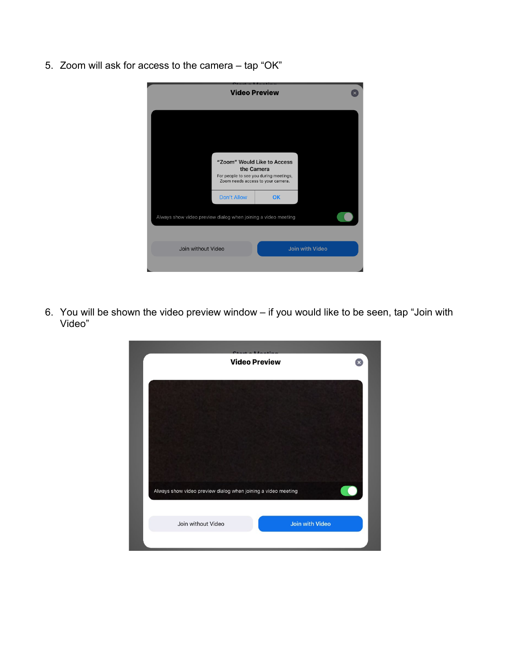5. Zoom will ask for access to the camera – tap "OK"

|                                                               | <b>Video Preview</b>                                 |                                   |                        |  |
|---------------------------------------------------------------|------------------------------------------------------|-----------------------------------|------------------------|--|
|                                                               |                                                      |                                   |                        |  |
|                                                               | "Zoom" Would Like to Access                          |                                   |                        |  |
|                                                               | the Camera<br>For people to see you during meetings, | Zoom needs access to your camera. |                        |  |
|                                                               | Don't Allow                                          | OK                                |                        |  |
| Always show video preview dialog when joining a video meeting |                                                      |                                   |                        |  |
|                                                               |                                                      |                                   |                        |  |
| Join without Video                                            |                                                      |                                   | <b>Join with Video</b> |  |
|                                                               |                                                      |                                   |                        |  |

6. You will be shown the video preview window – if you would like to be seen, tap "Join with Video"

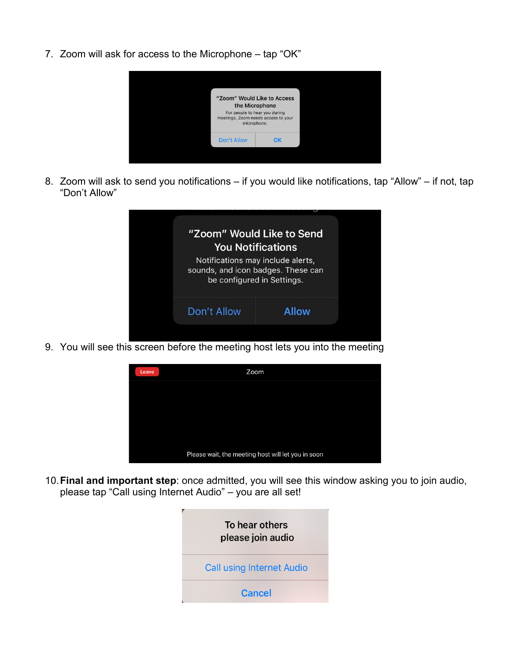7. Zoom will ask for access to the Microphone – tap "OK"



8. Zoom will ask to send you notifications – if you would like notifications, tap "Allow" – if not, tap "Don't Allow"



9. You will see this screen before the meeting host lets you into the meeting



10.**Final and important step**: once admitted, you will see this window asking you to join audio, please tap "Call using Internet Audio" – you are all set!

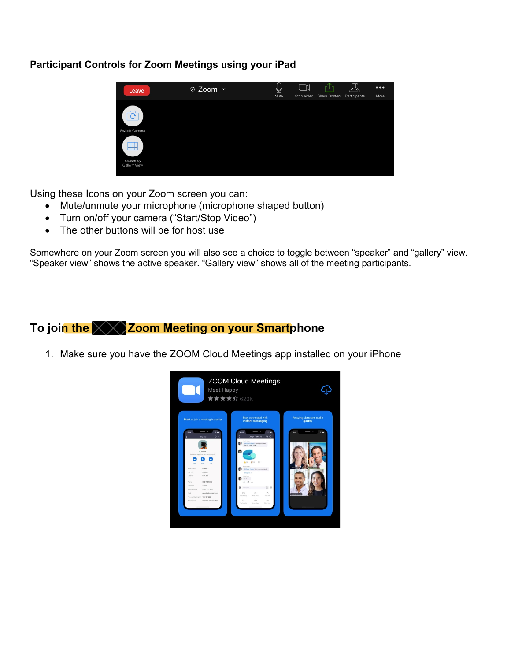#### **Participant Controls for Zoom Meetings using your iPad**



Using these Icons on your Zoom screen you can:

- Mute/unmute your microphone (microphone shaped button)
- Turn on/off your camera ("Start/Stop Video")
- The other buttons will be for host use

Somewhere on your Zoom screen you will also see a choice to toggle between "speaker" and "gallery" view. "Speaker view" shows the active speaker. "Gallery view" shows all of the meeting participants.

## To join the **XXX** Zoom Meeting on your Smartphone

1. Make sure you have the ZOOM Cloud Meetings app installed on your iPhone

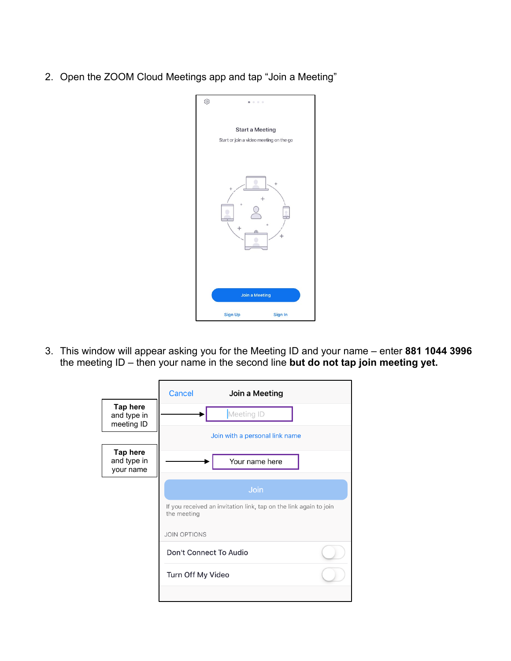2. Open the ZOOM Cloud Meetings app and tap "Join a Meeting"



3. This window will appear asking you for the Meeting ID and your name – enter **881 1044 3996** the meeting ID – then your name in the second line **but do not tap join meeting yet.**

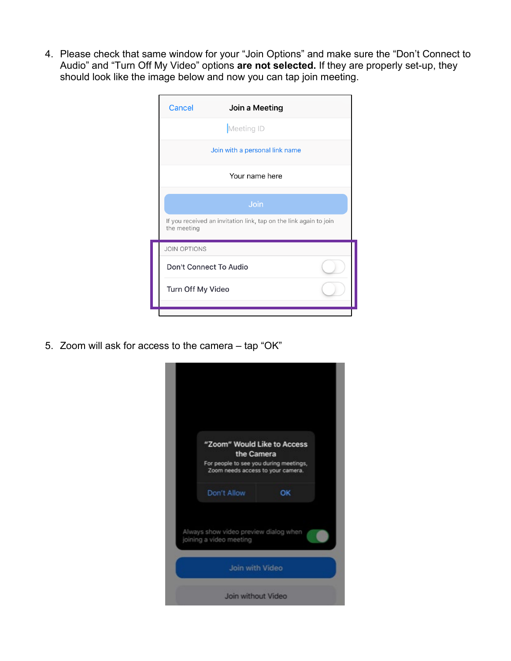4. Please check that same window for your "Join Options" and make sure the "Don't Connect to Audio" and "Turn Off My Video" options **are not selected.** If they are properly set-up, they should look like the image below and now you can tap join meeting.

| Cancel              | Join a Meeting                                                    |  |
|---------------------|-------------------------------------------------------------------|--|
|                     | Meeting ID                                                        |  |
|                     | Join with a personal link name                                    |  |
|                     | Your name here                                                    |  |
|                     | Join                                                              |  |
| the meeting         | If you received an invitation link, tap on the link again to join |  |
| <b>JOIN OPTIONS</b> |                                                                   |  |
|                     | Don't Connect To Audio                                            |  |
|                     | Turn Off My Video                                                 |  |
|                     |                                                                   |  |

5. Zoom will ask for access to the camera – tap "OK"

| "Zoom" Would Like to Access<br>the Camera                                   |    |
|-----------------------------------------------------------------------------|----|
| For people to see you during meetings,<br>Zoom needs access to your camera. |    |
| Don't Allow                                                                 | OK |
| Always show video preview dialog when<br>joining a video meeting            |    |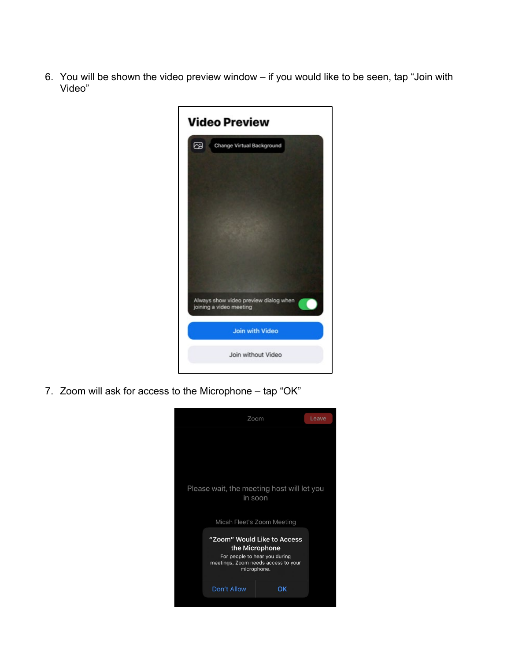6. You will be shown the video preview window – if you would like to be seen, tap "Join with Video"



7. Zoom will ask for access to the Microphone – tap "OK"

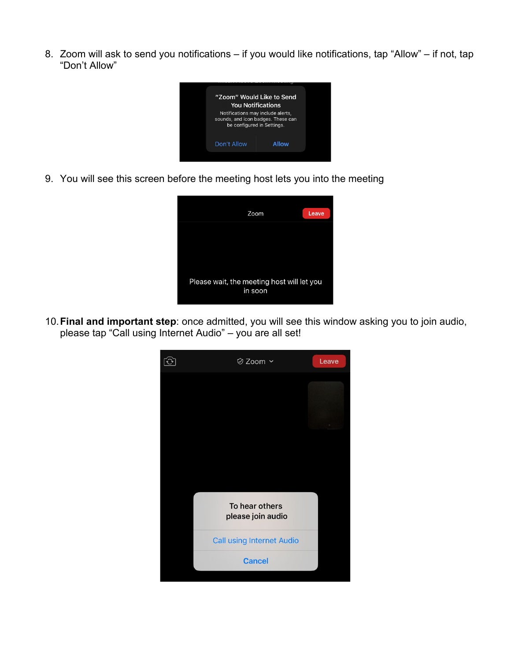8. Zoom will ask to send you notifications – if you would like notifications, tap "Allow" – if not, tap "Don't Allow"



9. You will see this screen before the meeting host lets you into the meeting



10.**Final and important step**: once admitted, you will see this window asking you to join audio, please tap "Call using Internet Audio" – you are all set!